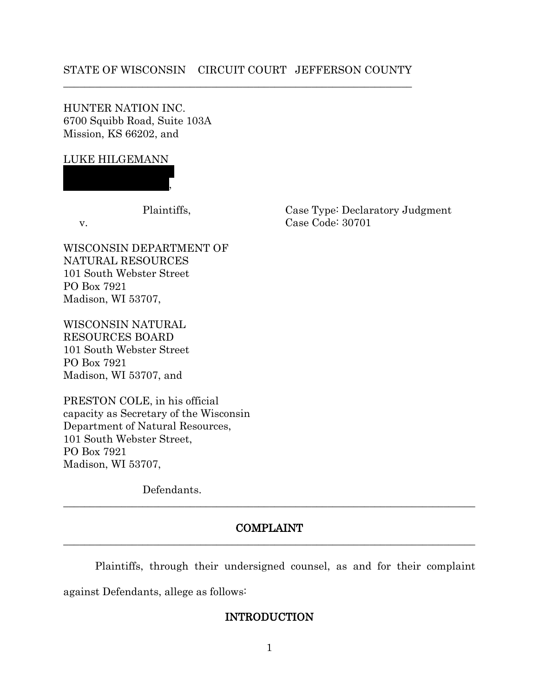## STATE OF WISCONSIN CIRCUIT COURT JEFFERSON COUNTY \_\_\_\_\_\_\_\_\_\_\_\_\_\_\_\_\_\_\_\_\_\_\_\_\_\_\_\_\_\_\_\_\_\_\_\_\_\_\_\_\_\_\_\_\_\_\_\_\_\_\_\_\_\_\_\_\_\_\_\_\_\_\_\_\_\_

HUNTER NATION INC. 6700 Squibb Road, Suite 103A Mission, KS 66202, and

### LUKE HILGEMANN

 $\overline{\phantom{a}}$ 

WISCONSIN DEPARTMENT OF NATURAL RESOURCES 101 South Webster Street PO Box 7921 Madison, WI 53707,

WISCONSIN NATURAL RESOURCES BOARD 101 South Webster Street PO Box 7921 Madison, WI 53707, and

PRESTON COLE, in his official capacity as Secretary of the Wisconsin Department of Natural Resources, 101 South Webster Street, PO Box 7921 Madison, WI 53707,

Defendants.

## COMPLAINT  $\_$  , and the set of the set of the set of the set of the set of the set of the set of the set of the set of the set of the set of the set of the set of the set of the set of the set of the set of the set of the set of th

 $\_$  , and the set of the set of the set of the set of the set of the set of the set of the set of the set of the set of the set of the set of the set of the set of the set of the set of the set of the set of the set of th

Plaintiffs, through their undersigned counsel, as and for their complaint against Defendants, allege as follows:

## INTRODUCTION

1

Plaintiffs, Case Type: Declaratory Judgment v. Case Code: 30701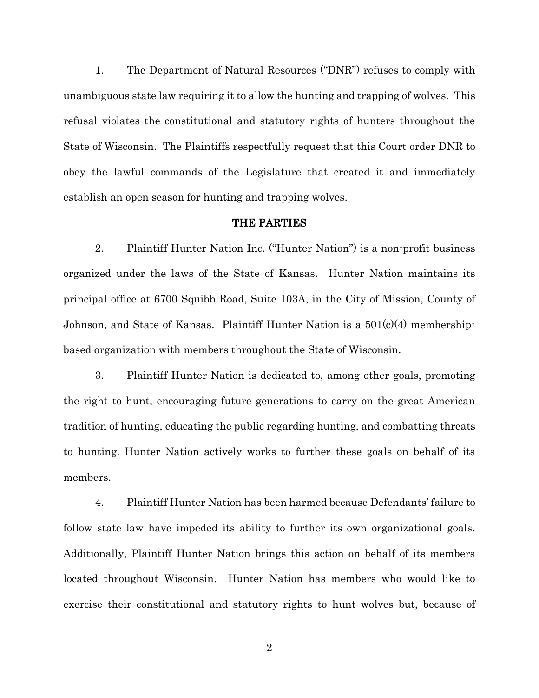1. The Department of Natural Resources ("DNR") refuses to comply with unambiguous state law requiring it to allow the hunting and trapping of wolves. This refusal violates the constitutional and statutory rights of hunters throughout the State of Wisconsin. The Plaintiffs respectfully request that this Court order DNR to obey the lawful commands of the Legislature that created it and immediately establish an open season for hunting and trapping wolves.

### THE PARTIES

2. Plaintiff Hunter Nation Inc. ("Hunter Nation") is a non-profit business organized under the laws of the State of Kansas. Hunter Nation maintains its principal office at 6700 Squibb Road, Suite 103A, in the City of Mission, County of Johnson, and State of Kansas. Plaintiff Hunter Nation is a  $501(c)(4)$  membershipbased organization with members throughout the State of Wisconsin.

3. Plaintiff Hunter Nation is dedicated to, among other goals, promoting the right to hunt, encouraging future generations to carry on the great American tradition of hunting, educating the public regarding hunting, and combatting threats to hunting. Hunter Nation actively works to further these goals on behalf of its members.

4. Plaintiff Hunter Nation has been harmed because Defendants' failure to follow state law have impeded its ability to further its own organizational goals. Additionally, Plaintiff Hunter Nation brings this action on behalf of its members located throughout Wisconsin. Hunter Nation has members who would like to exercise their constitutional and statutory rights to hunt wolves but, because of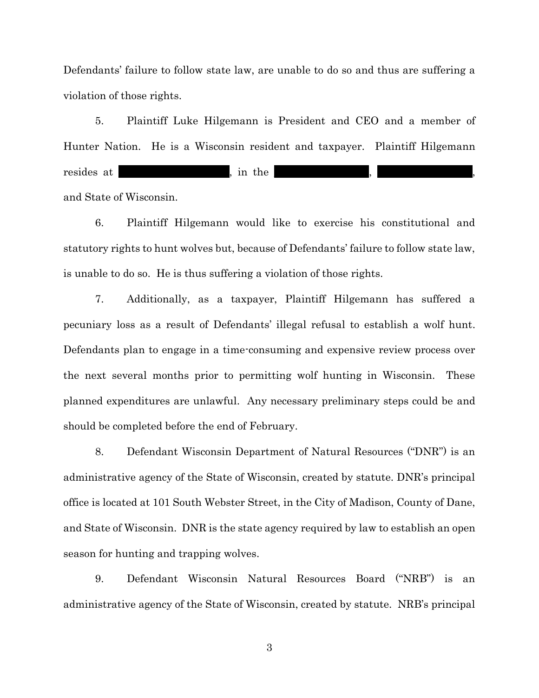Defendants' failure to follow state law, are unable to do so and thus are suffering a violation of those rights.

5. Plaintiff Luke Hilgemann is President and CEO and a member of Hunter Nation. He is a Wisconsin resident and taxpayer. Plaintiff Hilgemann resides at \_\_\_\_\_\_\_\_\_\_\_\_\_\_\_\_\_\_\_\_, in the and State of Wisconsin.

6. Plaintiff Hilgemann would like to exercise his constitutional and statutory rights to hunt wolves but, because of Defendants' failure to follow state law, is unable to do so. He is thus suffering a violation of those rights.

7. Additionally, as a taxpayer, Plaintiff Hilgemann has suffered a pecuniary loss as a result of Defendants' illegal refusal to establish a wolf hunt. Defendants plan to engage in a time-consuming and expensive review process over the next several months prior to permitting wolf hunting in Wisconsin. These planned expenditures are unlawful. Any necessary preliminary steps could be and should be completed before the end of February.

8. Defendant Wisconsin Department of Natural Resources ("DNR") is an administrative agency of the State of Wisconsin, created by statute. DNR's principal office is located at 101 South Webster Street, in the City of Madison, County of Dane, and State of Wisconsin. DNR is the state agency required by law to establish an open season for hunting and trapping wolves.

9. Defendant Wisconsin Natural Resources Board ("NRB") is an administrative agency of the State of Wisconsin, created by statute. NRB's principal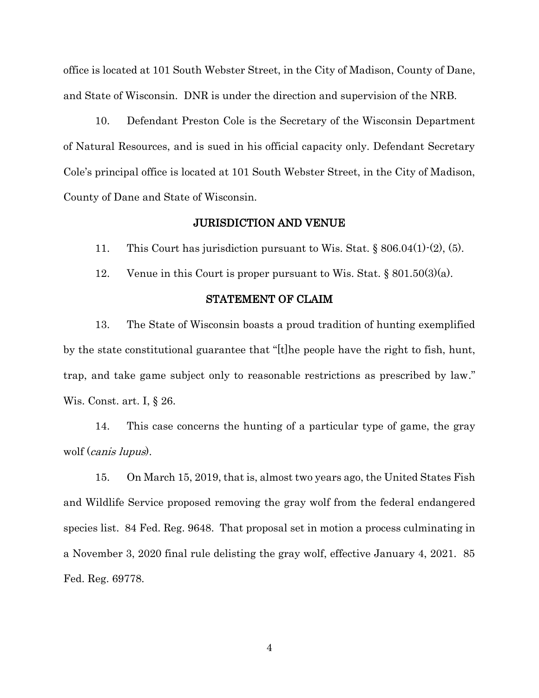office is located at 101 South Webster Street, in the City of Madison, County of Dane, and State of Wisconsin. DNR is under the direction and supervision of the NRB.

10. Defendant Preston Cole is the Secretary of the Wisconsin Department of Natural Resources, and is sued in his official capacity only. Defendant Secretary Cole's principal office is located at 101 South Webster Street, in the City of Madison, County of Dane and State of Wisconsin.

## JURISDICTION AND VENUE

11. This Court has jurisdiction pursuant to Wis. Stat. § 806.04(1)-(2), (5).

12. Venue in this Court is proper pursuant to Wis. Stat.  $\S 801.50(3)(a)$ .

#### STATEMENT OF CLAIM

13. The State of Wisconsin boasts a proud tradition of hunting exemplified by the state constitutional guarantee that "[t]he people have the right to fish, hunt, trap, and take game subject only to reasonable restrictions as prescribed by law." Wis. Const. art. I, § 26.

14. This case concerns the hunting of a particular type of game, the gray wolf (canis lupus).

15. On March 15, 2019, that is, almost two years ago, the United States Fish and Wildlife Service proposed removing the gray wolf from the federal endangered species list. 84 Fed. Reg. 9648. That proposal set in motion a process culminating in a November 3, 2020 final rule delisting the gray wolf, effective January 4, 2021. 85 Fed. Reg. 69778.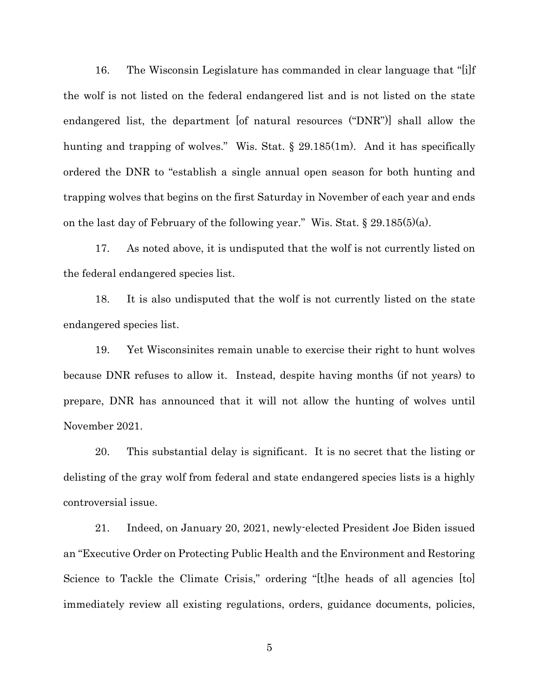16. The Wisconsin Legislature has commanded in clear language that "[i]f the wolf is not listed on the federal endangered list and is not listed on the state endangered list, the department [of natural resources ("DNR")] shall allow the hunting and trapping of wolves." Wis. Stat. § 29.185(1m). And it has specifically ordered the DNR to "establish a single annual open season for both hunting and trapping wolves that begins on the first Saturday in November of each year and ends on the last day of February of the following year." Wis. Stat. § 29.185(5)(a).

17. As noted above, it is undisputed that the wolf is not currently listed on the federal endangered species list.

18. It is also undisputed that the wolf is not currently listed on the state endangered species list.

19. Yet Wisconsinites remain unable to exercise their right to hunt wolves because DNR refuses to allow it. Instead, despite having months (if not years) to prepare, DNR has announced that it will not allow the hunting of wolves until November 2021.

20. This substantial delay is significant. It is no secret that the listing or delisting of the gray wolf from federal and state endangered species lists is a highly controversial issue.

21. Indeed, on January 20, 2021, newly-elected President Joe Biden issued an "Executive Order on Protecting Public Health and the Environment and Restoring Science to Tackle the Climate Crisis," ordering "[t]he heads of all agencies [to] immediately review all existing regulations, orders, guidance documents, policies,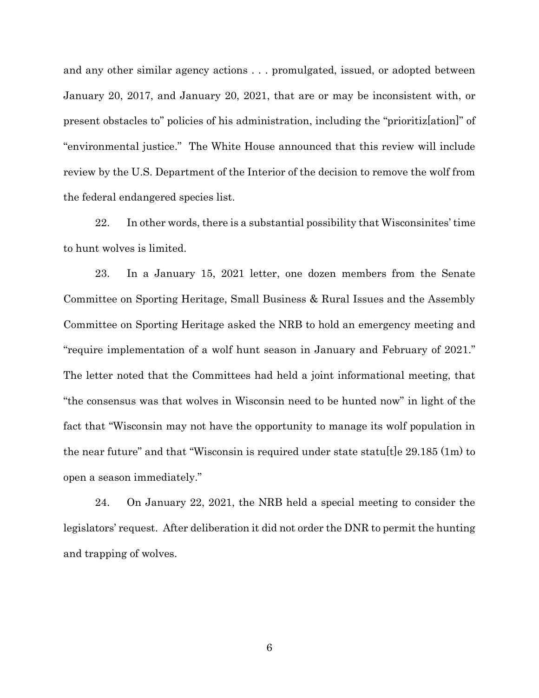and any other similar agency actions . . . promulgated, issued, or adopted between January 20, 2017, and January 20, 2021, that are or may be inconsistent with, or present obstacles to" policies of his administration, including the "prioritiz[ation]" of "environmental justice." The White House announced that this review will include review by the U.S. Department of the Interior of the decision to remove the wolf from the federal endangered species list.

22. In other words, there is a substantial possibility that Wisconsinites' time to hunt wolves is limited.

23. In a January 15, 2021 letter, one dozen members from the Senate Committee on Sporting Heritage, Small Business & Rural Issues and the Assembly Committee on Sporting Heritage asked the NRB to hold an emergency meeting and "require implementation of a wolf hunt season in January and February of 2021." The letter noted that the Committees had held a joint informational meeting, that "the consensus was that wolves in Wisconsin need to be hunted now" in light of the fact that "Wisconsin may not have the opportunity to manage its wolf population in the near future" and that "Wisconsin is required under state statularle  $29.185$  (1m) to open a season immediately."

24. On January 22, 2021, the NRB held a special meeting to consider the legislators' request. After deliberation it did not order the DNR to permit the hunting and trapping of wolves.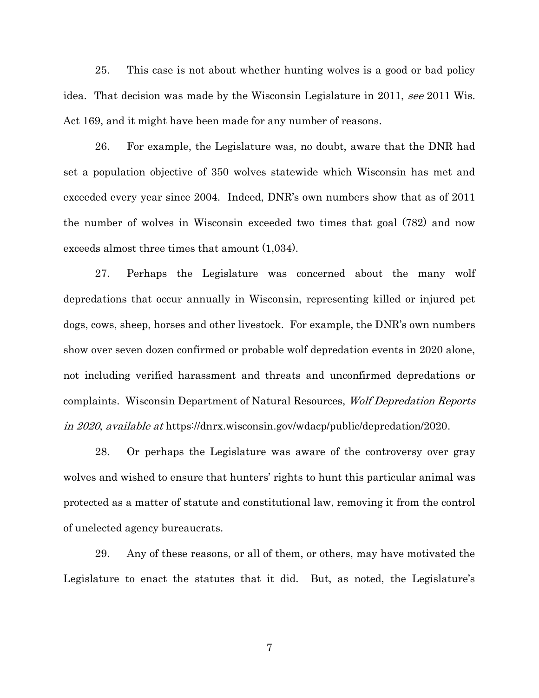25. This case is not about whether hunting wolves is a good or bad policy idea. That decision was made by the Wisconsin Legislature in 2011, see 2011 Wis. Act 169, and it might have been made for any number of reasons.

26. For example, the Legislature was, no doubt, aware that the DNR had set a population objective of 350 wolves statewide which Wisconsin has met and exceeded every year since 2004. Indeed, DNR's own numbers show that as of 2011 the number of wolves in Wisconsin exceeded two times that goal (782) and now exceeds almost three times that amount (1,034).

27. Perhaps the Legislature was concerned about the many wolf depredations that occur annually in Wisconsin, representing killed or injured pet dogs, cows, sheep, horses and other livestock. For example, the DNR's own numbers show over seven dozen confirmed or probable wolf depredation events in 2020 alone, not including verified harassment and threats and unconfirmed depredations or complaints. Wisconsin Department of Natural Resources, Wolf Depredation Reports in 2020, available at https://dnrx.wisconsin.gov/wdacp/public/depredation/2020.

28. Or perhaps the Legislature was aware of the controversy over gray wolves and wished to ensure that hunters' rights to hunt this particular animal was protected as a matter of statute and constitutional law, removing it from the control of unelected agency bureaucrats.

29. Any of these reasons, or all of them, or others, may have motivated the Legislature to enact the statutes that it did. But, as noted, the Legislature's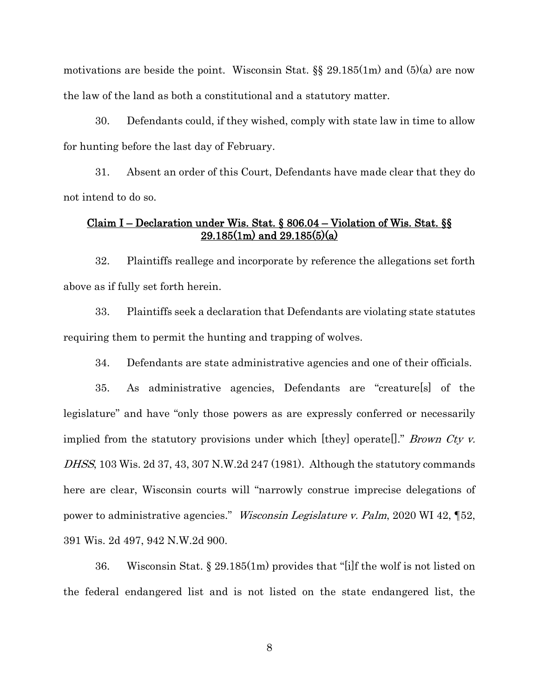motivations are beside the point. Wisconsin Stat. §§ 29.185(1m) and (5)(a) are now the law of the land as both a constitutional and a statutory matter.

30. Defendants could, if they wished, comply with state law in time to allow for hunting before the last day of February.

31. Absent an order of this Court, Defendants have made clear that they do not intend to do so.

# Claim I – Declaration under Wis. Stat. § 806.04 – Violation of Wis. Stat. §§  $29.185(1m)$  and  $29.185(5)(a)$

32. Plaintiffs reallege and incorporate by reference the allegations set forth above as if fully set forth herein.

33. Plaintiffs seek a declaration that Defendants are violating state statutes requiring them to permit the hunting and trapping of wolves.

34. Defendants are state administrative agencies and one of their officials.

35. As administrative agencies, Defendants are "creature[s] of the legislature" and have "only those powers as are expressly conferred or necessarily implied from the statutory provisions under which [they] operate[]." Brown Cty v. DHSS, 103 Wis. 2d 37, 43, 307 N.W.2d 247 (1981). Although the statutory commands here are clear, Wisconsin courts will "narrowly construe imprecise delegations of power to administrative agencies." Wisconsin Legislature v. Palm, 2020 WI 42, ¶52, 391 Wis. 2d 497, 942 N.W.2d 900.

36. Wisconsin Stat. § 29.185(1m) provides that "[i]f the wolf is not listed on the federal endangered list and is not listed on the state endangered list, the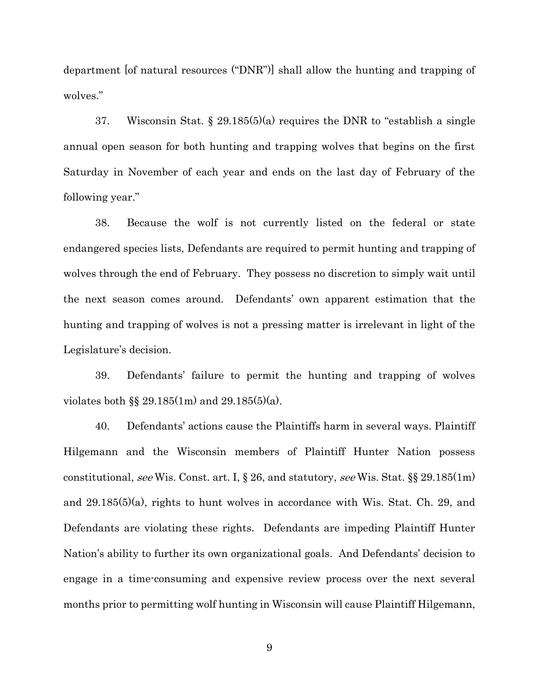department [of natural resources ("DNR")] shall allow the hunting and trapping of wolves."

37. Wisconsin Stat. § 29.185(5)(a) requires the DNR to "establish a single annual open season for both hunting and trapping wolves that begins on the first Saturday in November of each year and ends on the last day of February of the following year."

38. Because the wolf is not currently listed on the federal or state endangered species lists, Defendants are required to permit hunting and trapping of wolves through the end of February. They possess no discretion to simply wait until the next season comes around. Defendants' own apparent estimation that the hunting and trapping of wolves is not a pressing matter is irrelevant in light of the Legislature's decision.

39. Defendants' failure to permit the hunting and trapping of wolves violates both §§ 29.185(1m) and 29.185(5)(a).

40. Defendants' actions cause the Plaintiffs harm in several ways. Plaintiff Hilgemann and the Wisconsin members of Plaintiff Hunter Nation possess constitutional, see Wis. Const. art. I, § 26, and statutory, see Wis. Stat. §§ 29.185(1m) and 29.185(5)(a), rights to hunt wolves in accordance with Wis. Stat. Ch. 29, and Defendants are violating these rights. Defendants are impeding Plaintiff Hunter Nation's ability to further its own organizational goals. And Defendants' decision to engage in a time-consuming and expensive review process over the next several months prior to permitting wolf hunting in Wisconsin will cause Plaintiff Hilgemann,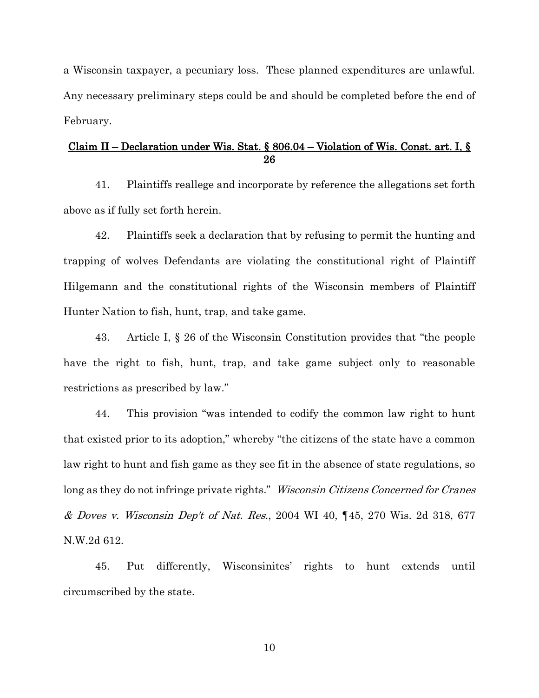a Wisconsin taxpayer, a pecuniary loss. These planned expenditures are unlawful. Any necessary preliminary steps could be and should be completed before the end of February.

## Claim II – Declaration under Wis. Stat. § 806.04 – Violation of Wis. Const. art. I, § 26

41. Plaintiffs reallege and incorporate by reference the allegations set forth above as if fully set forth herein.

42. Plaintiffs seek a declaration that by refusing to permit the hunting and trapping of wolves Defendants are violating the constitutional right of Plaintiff Hilgemann and the constitutional rights of the Wisconsin members of Plaintiff Hunter Nation to fish, hunt, trap, and take game.

43. Article I, § 26 of the Wisconsin Constitution provides that "the people have the right to fish, hunt, trap, and take game subject only to reasonable restrictions as prescribed by law."

44. This provision "was intended to codify the common law right to hunt that existed prior to its adoption," whereby "the citizens of the state have a common law right to hunt and fish game as they see fit in the absence of state regulations, so long as they do not infringe private rights." *Wisconsin Citizens Concerned for Cranes* & Doves v. Wisconsin Dep't of Nat. Res., 2004 WI 40, ¶45, 270 Wis. 2d 318, 677 N.W.2d 612.

45. Put differently, Wisconsinites' rights to hunt extends until circumscribed by the state.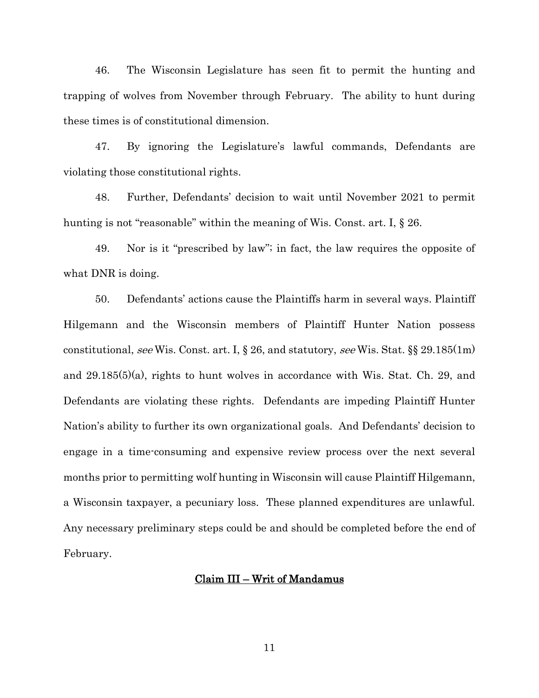46. The Wisconsin Legislature has seen fit to permit the hunting and trapping of wolves from November through February. The ability to hunt during these times is of constitutional dimension.

47. By ignoring the Legislature's lawful commands, Defendants are violating those constitutional rights.

48. Further, Defendants' decision to wait until November 2021 to permit hunting is not "reasonable" within the meaning of Wis. Const. art. I,  $\S 26$ .

49. Nor is it "prescribed by law"; in fact, the law requires the opposite of what DNR is doing.

50. Defendants' actions cause the Plaintiffs harm in several ways. Plaintiff Hilgemann and the Wisconsin members of Plaintiff Hunter Nation possess constitutional, see Wis. Const. art. I, § 26, and statutory, see Wis. Stat. §§ 29.185(1m) and 29.185(5)(a), rights to hunt wolves in accordance with Wis. Stat. Ch. 29, and Defendants are violating these rights. Defendants are impeding Plaintiff Hunter Nation's ability to further its own organizational goals. And Defendants' decision to engage in a time-consuming and expensive review process over the next several months prior to permitting wolf hunting in Wisconsin will cause Plaintiff Hilgemann, a Wisconsin taxpayer, a pecuniary loss. These planned expenditures are unlawful. Any necessary preliminary steps could be and should be completed before the end of February.

# Claim III – Writ of Mandamus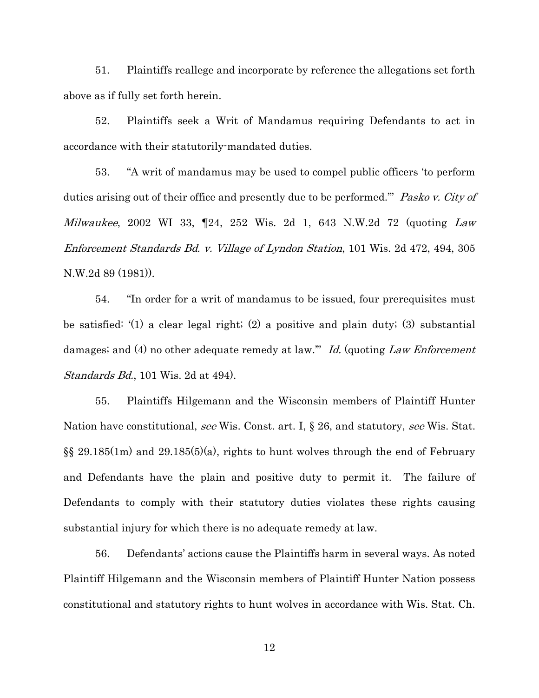51. Plaintiffs reallege and incorporate by reference the allegations set forth above as if fully set forth herein.

52. Plaintiffs seek a Writ of Mandamus requiring Defendants to act in accordance with their statutorily-mandated duties.

53. "A writ of mandamus may be used to compel public officers 'to perform duties arising out of their office and presently due to be performed." Pasko v. City of *Milwaukee*, 2002 WI 33,  $[24, 252$  Wis. 2d 1, 643 N.W.2d 72 (quoting *Law*) Enforcement Standards Bd. v. Village of Lyndon Station, 101 Wis. 2d 472, 494, 305 N.W.2d 89 (1981)).

54. "In order for a writ of mandamus to be issued, four prerequisites must be satisfied: '(1) a clear legal right; (2) a positive and plain duty; (3) substantial damages; and (4) no other adequate remedy at law." Id. (quoting Law Enforcement Standards Bd., 101 Wis. 2d at 494).

55. Plaintiffs Hilgemann and the Wisconsin members of Plaintiff Hunter Nation have constitutional, see Wis. Const. art. I, § 26, and statutory, see Wis. Stat. §§ 29.185(1m) and 29.185(5)(a), rights to hunt wolves through the end of February and Defendants have the plain and positive duty to permit it. The failure of Defendants to comply with their statutory duties violates these rights causing substantial injury for which there is no adequate remedy at law.

56. Defendants' actions cause the Plaintiffs harm in several ways. As noted Plaintiff Hilgemann and the Wisconsin members of Plaintiff Hunter Nation possess constitutional and statutory rights to hunt wolves in accordance with Wis. Stat. Ch.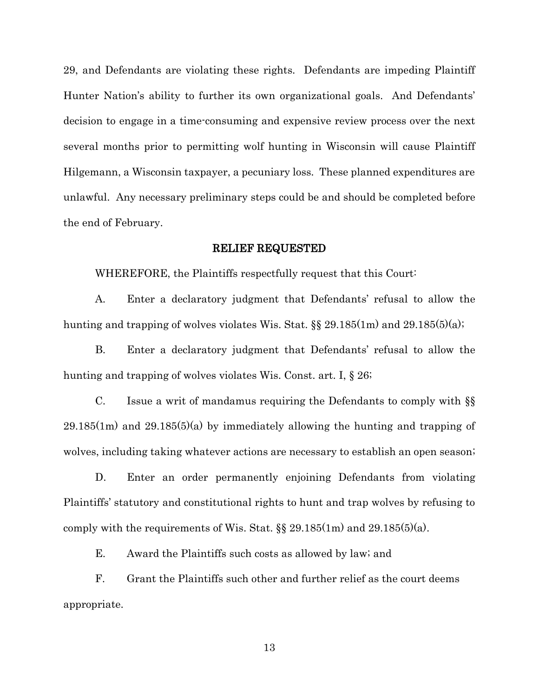29, and Defendants are violating these rights. Defendants are impeding Plaintiff Hunter Nation's ability to further its own organizational goals. And Defendants' decision to engage in a time-consuming and expensive review process over the next several months prior to permitting wolf hunting in Wisconsin will cause Plaintiff Hilgemann, a Wisconsin taxpayer, a pecuniary loss. These planned expenditures are unlawful. Any necessary preliminary steps could be and should be completed before the end of February.

#### RELIEF REQUESTED

WHEREFORE, the Plaintiffs respectfully request that this Court:

A. Enter a declaratory judgment that Defendants' refusal to allow the hunting and trapping of wolves violates Wis. Stat. §§ 29.185(1m) and 29.185(5)(a);

B. Enter a declaratory judgment that Defendants' refusal to allow the hunting and trapping of wolves violates Wis. Const. art. I, § 26;

C. Issue a writ of mandamus requiring the Defendants to comply with §§  $29.185(1m)$  and  $29.185(5)(a)$  by immediately allowing the hunting and trapping of wolves, including taking whatever actions are necessary to establish an open season;

D. Enter an order permanently enjoining Defendants from violating Plaintiffs' statutory and constitutional rights to hunt and trap wolves by refusing to comply with the requirements of Wis. Stat.  $\S$  29.185(1m) and 29.185(5)(a).

E. Award the Plaintiffs such costs as allowed by law; and

F. Grant the Plaintiffs such other and further relief as the court deems appropriate.